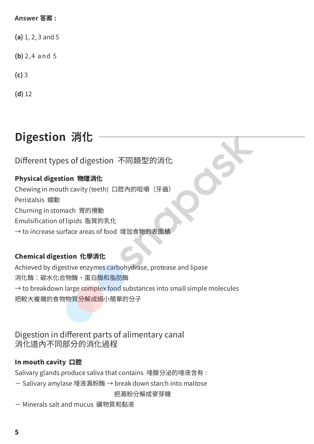#### **Answer 答案 :**

**(a)** 1, 2, 3 and 5

**(b)** 2,4 and 5

**(c)** 3

**(d)** 12

# **Digestion 消化**

Different types of digestion 不同類型的消化

# Physical digestion 物理消化

Chewing in mouth cavity (teeth) 口腔內的咀嚼(牙齒) Peristalsis 蠕動 Churning in stomach 胃的攪動 Emulsification of lipids 脂質的乳化 → to increase surface areas of food 增加食物的表面積

# Chemical digestion 化學消化

Achieved by digestive enzymes carbohydrase, protease and lipase 消化酶:碳水化合物酶、蛋白酶和脂肪酶  $\rightarrow$  to breakdown large complex food substances into small simple molecules 把較大複雜的食物物質分解成細小簡單的分子

# Digestion in different parts of alimentary canal 消化道內不同部分的消化過程

# In mouth cavity 口腔

Salivary glands produce saliva that contains 唾腺分泌的唾液含有 :

- Salivary amylase 唾液澱粉酶 → break down starch into maltose

把澱粉分解成麥芽糖

- Minerals salt and mucus 礦物質和黏液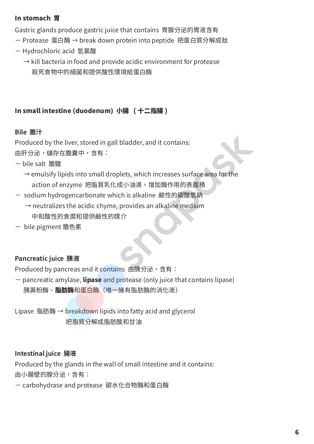#### In stomach 胃

Gastric glands produce gastric juice that contains 胃腺分泌的胃液含有

- Protease 蛋白酶 → break down protein into peptide 把蛋白質分解成肽
- Hydrochloric acid 氫氯酸
	- $\rightarrow$  kill bacteria in food and provide acidic environment for protease 殺死食物中的細菌和提供酸性環境給蛋白酶

### In small intestine (duodenum) 小腸 ( 十二指腸 )

#### **Bile 膽汁**

Produced by the liver, stored in gall bladder, and it contains: 由肝分泌,儲存在膽囊中,含有:

- bile salt 膽鹽
	- $\rightarrow$  emulsify lipids into small droplets, which increases surface area for the action of enzyme 把脂質乳化成小油滴,增加酶作用的表面積
- sodium hydrogencarbonate which is alkaline 鹼性的碳酸氫鈉
	- $\rightarrow$  neutralizes the acidic chyme, provides an alkaline medium 中和酸性的食糜和提供鹼性的媒介
- bile pigment 膽色素

#### **Pancreatic juice 胰液**

Produced by pancreas and it contains 由胰分泌,含有:

- pancreatic amylase, lipase and protease (only juice that contains lipase) 胰澱粉酶、脂肪酶和蛋白酶(唯一擁有脂肪酶的消化液)

Lipase 脂肪酶 → breakdown lipids into fatty acid and glycerol 把脂質分解成脂肪酸和甘油

#### **Intestinal juice 腸液**

Produced by the glands in the wall of small intestine and it contains: 由小腸壁的腺分泌,含有:

- carbohydrase and protease 碳水化合物酶和蛋白酶